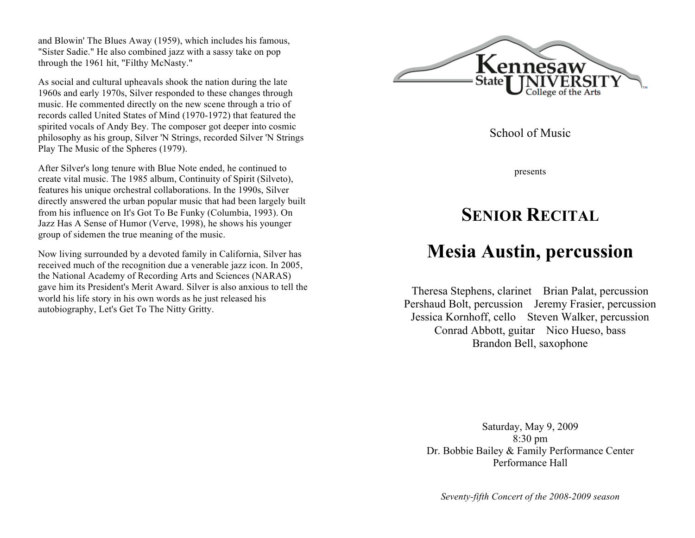and Blowin' The Blues Away (1959), which includes his famous, "Sister Sadie." He also combined jazz with a sassy take on pop through the 1961 hit, "Filthy McNasty."

As social and cultural upheavals shook the nation during the late 1960s and early 1970s, Silver responded to these changes through music. He commented directly on the new scene through a trio of records called United States of Mind (1970-1972) that featured the spirited vocals of Andy Bey. The composer got deeper into cosmic philosophy as his group, Silver 'N Strings, recorded Silver 'N Strings Play The Music of the Spheres (1979).

After Silver's long tenure with Blue Note ended, he continued to create vital music. The 1985 album, Continuity of Spirit (Silveto), features his unique orchestral collaborations. In the 1990s, Silver directly answered the urban popular music that had been largely built from his influence on It's Got To Be Funky (Columbia, 1993). On Jazz Has A Sense of Humor (Verve, 1998), he shows his younger group of sidemen the true meaning of the music.

Now living surrounded by a devoted family in California, Silver has received much of the recognition due a venerable jazz icon. In 2005, the National Academy of Recording Arts and Sciences (NARAS) gave him its President's Merit Award. Silver is also anxious to tell the world his life story in his own words as he just released his autobiography, Let's Get To The Nitty Gritty.



School of Music

presents

# **SENIOR RECITAL**

# **Mesia Austin, percussion**

Theresa Stephens, clarinet Brian Palat, percussion Pershaud Bolt, percussion Jeremy Frasier, percussion Jessica Kornhoff, cello Steven Walker, percussion Conrad Abbott, guitar Nico Hueso, bass Brandon Bell, saxophone

Saturday, May 9, 2009 8:30 pm Dr. Bobbie Bailey & Family Performance Center Performance Hall

*Seventy-fifth Concert of the 2008-2009 season*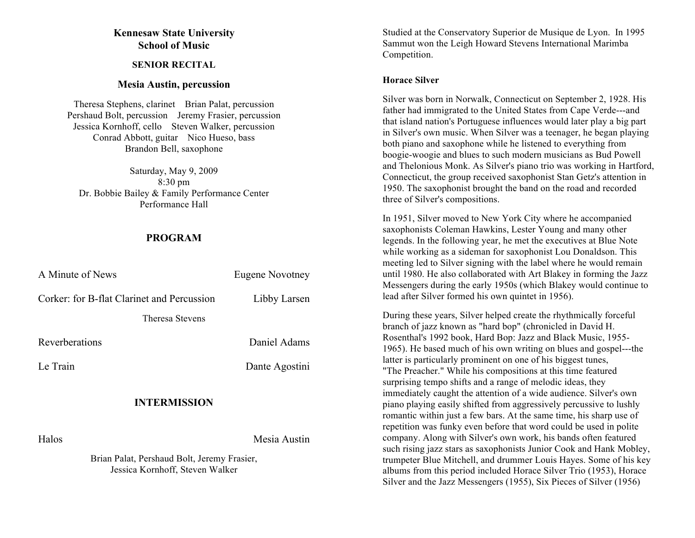# **Kennesaw State University School of Music**

#### **SENIOR RECITAL**

## **Mesia Austin, percussion**

Theresa Stephens, clarinet Brian Palat, percussion Pershaud Bolt, percussion Jeremy Frasier, percussion Jessica Kornhoff, cello Steven Walker, percussion Conrad Abbott, guitar Nico Hueso, bass Brandon Bell, saxophone

Saturday, May 9, 2009 8:30 pm Dr. Bobbie Bailey & Family Performance Center Performance Hall

# **PROGRAM**

| A Minute of News                           | Eugene Novotney |
|--------------------------------------------|-----------------|
| Corker: for B-flat Clarinet and Percussion | Libby Larsen    |
| Theresa Stevens                            |                 |
| Reverberations                             | Daniel Adams    |
| Le Train                                   | Dante Agostini  |

# **INTERMISSION**

Halos Mesia Austin

Brian Palat, Pershaud Bolt, Jeremy Frasier, Jessica Kornhoff, Steven Walker

Studied at the Conservatory Superior de Musique de Lyon. In 1995 Sammut won the Leigh Howard Stevens International Marimba Competition.

## **Horace Silver**

Silver was born in Norwalk, Connecticut on September 2, 1928. His father had immigrated to the United States from Cape Verde---and that island nation's Portuguese influences would later play a big part in Silver's own music. When Silver was a teenager, he began playing both piano and saxophone while he listened to everything from boogie-woogie and blues to such modern musicians as Bud Powell and Thelonious Monk. As Silver's piano trio was working in Hartford, Connecticut, the group received saxophonist Stan Getz's attention in 1950. The saxophonist brought the band on the road and recorded three of Silver's compositions.

In 1951, Silver moved to New York City where he accompanied saxophonists Coleman Hawkins, Lester Young and many other legends. In the following year, he met the executives at Blue Note while working as a sideman for saxophonist Lou Donaldson. This meeting led to Silver signing with the label where he would remain until 1980. He also collaborated with Art Blakey in forming the Jazz Messengers during the early 1950s (which Blakey would continue to lead after Silver formed his own quintet in 1956).

During these years, Silver helped create the rhythmically forceful branch of jazz known as "hard bop" (chronicled in David H. Rosenthal's 1992 book, Hard Bop: Jazz and Black Music, 1955- 1965). He based much of his own writing on blues and gospel---the latter is particularly prominent on one of his biggest tunes, "The Preacher." While his compositions at this time featured surprising tempo shifts and a range of melodic ideas, they immediately caught the attention of a wide audience. Silver's own piano playing easily shifted from aggressively percussive to lushly romantic within just a few bars. At the same time, his sharp use of repetition was funky even before that word could be used in polite company. Along with Silver's own work, his bands often featured such rising jazz stars as saxophonists Junior Cook and Hank Mobley, trumpeter Blue Mitchell, and drummer Louis Hayes. Some of his key albums from this period included Horace Silver Trio (1953), Horace Silver and the Jazz Messengers (1955), Six Pieces of Silver (1956)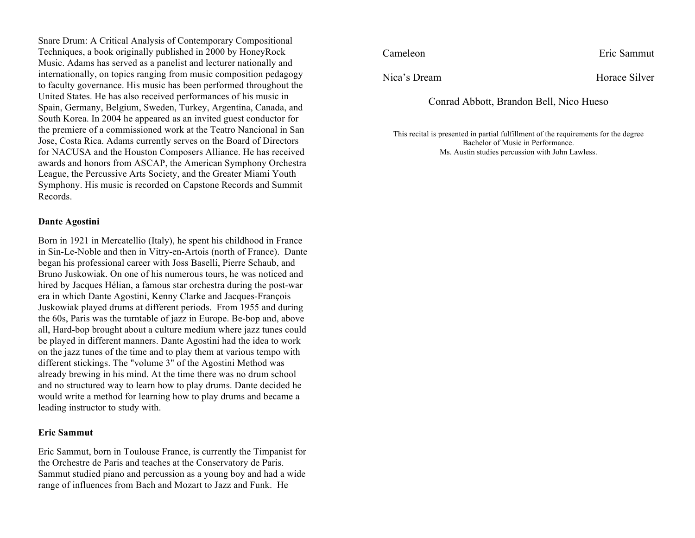Snare Drum: A Critical Analysis of Contemporary Compositional Techniques, a book originally published in 2000 by HoneyRock Music. Adams has served as a panelist and lecturer nationally and internationally, on topics ranging from music composition pedagogy to faculty governance. His music has been performed throughout the United States. He has also received performances of his music in Spain, Germany, Belgium, Sweden, Turkey, Argentina, Canada, and South Korea. In 2004 he appeared as an invited guest conductor for the premiere of a commissioned work at the Teatro Nancional in San Jose, Costa Rica. Adams currently serves on the Board of Directors for NACUSA and the Houston Composers Alliance. He has received awards and honors from ASCAP, the American Symphony Orchestra League, the Percussive Arts Society, and the Greater Miami Youth Symphony. His music is recorded on Capstone Records and Summit Records.

#### **Dante Agostini**

Born in 1921 in Mercatellio (Italy), he spent his childhood in France in Sin-Le-Noble and then in Vitry-en-Artois (north of France). Dante began his professional career with Joss Baselli, Pierre Schaub, and Bruno Juskowiak. On one of his numerous tours, he was noticed and hired by Jacques Hélian, a famous star orchestra during the post-war era in which Dante Agostini, Kenny Clarke and Jacques-François Juskowiak played drums at different periods. From 1955 and during the 60s, Paris was the turntable of jazz in Europe. Be-bop and, above all, Hard-bop brought about a culture medium where jazz tunes could be played in different manners. Dante Agostini had the idea to work on the jazz tunes of the time and to play them at various tempo with different stickings. The "volume 3" of the Agostini Method was already brewing in his mind. At the time there was no drum school and no structured way to learn how to play drums. Dante decided he would write a method for learning how to play drums and became a leading instructor to study with.

#### **Eric Sammut**

Eric Sammut, born in Toulouse France, is currently the Timpanist for the Orchestre de Paris and teaches at the Conservatory de Paris. Sammut studied piano and percussion as a young boy and had a wide range of influences from Bach and Mozart to Jazz and Funk. He

#### Cameleon Eric Sammut

Nica's Dream Horace Silver

Conrad Abbott, Brandon Bell, Nico Hueso

This recital is presented in partial fulfillment of the requirements for the degree Bachelor of Music in Performance. Ms. Austin studies percussion with John Lawless.